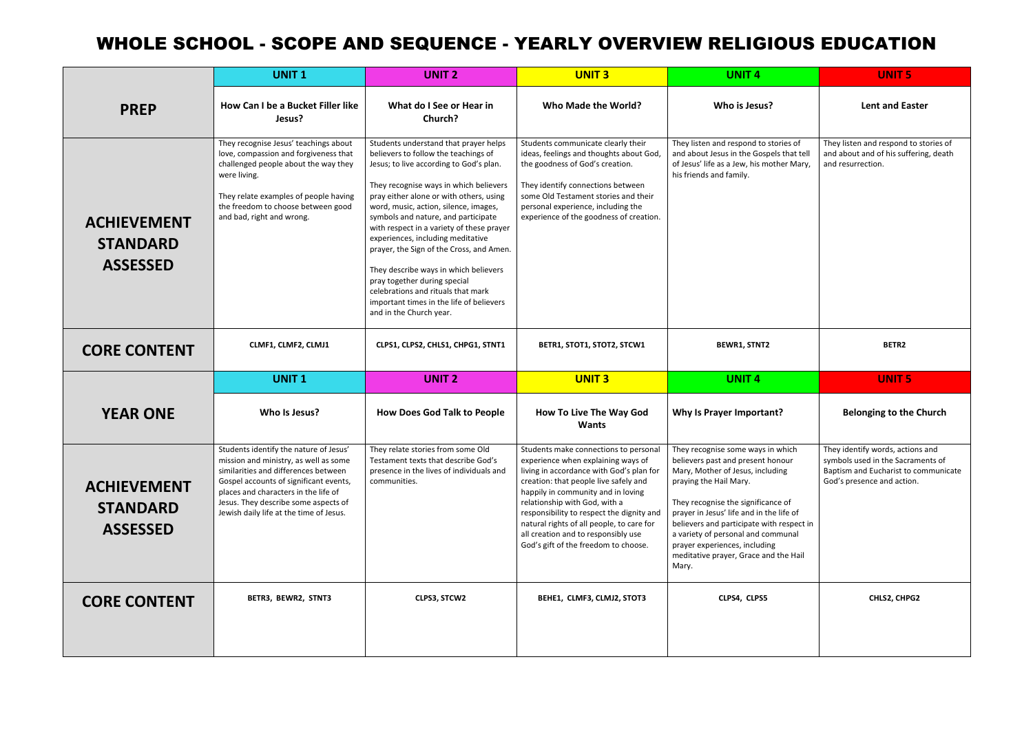|                                                          | <b>UNIT1</b>                                                                                                                                                                                                                                                                                 | <b>UNIT 2</b>                                                                                                                                                                                                                                                                                                                                                                                                                                                                                                                                                                                                     | <b>UNIT 3</b>                                                                                                                                                                                                                                                                                                                                                                                                    | <b>UNIT4</b>                                                                                                                                                                                                                                                                                                                                                                                 | <b>UNIT 5</b>                                                                                                                               |
|----------------------------------------------------------|----------------------------------------------------------------------------------------------------------------------------------------------------------------------------------------------------------------------------------------------------------------------------------------------|-------------------------------------------------------------------------------------------------------------------------------------------------------------------------------------------------------------------------------------------------------------------------------------------------------------------------------------------------------------------------------------------------------------------------------------------------------------------------------------------------------------------------------------------------------------------------------------------------------------------|------------------------------------------------------------------------------------------------------------------------------------------------------------------------------------------------------------------------------------------------------------------------------------------------------------------------------------------------------------------------------------------------------------------|----------------------------------------------------------------------------------------------------------------------------------------------------------------------------------------------------------------------------------------------------------------------------------------------------------------------------------------------------------------------------------------------|---------------------------------------------------------------------------------------------------------------------------------------------|
| <b>PREP</b>                                              | How Can I be a Bucket Filler like<br>Jesus?                                                                                                                                                                                                                                                  | What do I See or Hear in<br>Church?                                                                                                                                                                                                                                                                                                                                                                                                                                                                                                                                                                               | Who Made the World?                                                                                                                                                                                                                                                                                                                                                                                              | Who is Jesus?                                                                                                                                                                                                                                                                                                                                                                                | <b>Lent and Easter</b>                                                                                                                      |
| <b>ACHIEVEMENT</b><br><b>STANDARD</b><br><b>ASSESSED</b> | They recognise Jesus' teachings about<br>love, compassion and forgiveness that<br>challenged people about the way they<br>were living.<br>They relate examples of people having<br>the freedom to choose between good<br>and bad, right and wrong.                                           | Students understand that prayer helps<br>believers to follow the teachings of<br>Jesus; to live according to God's plan.<br>They recognise ways in which believers<br>pray either alone or with others, using<br>word, music, action, silence, images,<br>symbols and nature, and participate<br>with respect in a variety of these prayer<br>experiences, including meditative<br>prayer, the Sign of the Cross, and Amen.<br>They describe ways in which believers<br>pray together during special<br>celebrations and rituals that mark<br>important times in the life of believers<br>and in the Church year. | Students communicate clearly their<br>ideas, feelings and thoughts about God,<br>the goodness of God's creation.<br>They identify connections between<br>some Old Testament stories and their<br>personal experience, including the<br>experience of the goodness of creation.                                                                                                                                   | They listen and respond to stories of<br>and about Jesus in the Gospels that tell<br>of Jesus' life as a Jew, his mother Mary,<br>his friends and family.                                                                                                                                                                                                                                    | They listen and respond to stories of<br>and about and of his suffering, death<br>and resurrection.                                         |
| <b>CORE CONTENT</b>                                      | CLMF1, CLMF2, CLMJ1                                                                                                                                                                                                                                                                          | CLPS1, CLPS2, CHLS1, CHPG1, STNT1                                                                                                                                                                                                                                                                                                                                                                                                                                                                                                                                                                                 | BETR1, STOT1, STOT2, STCW1                                                                                                                                                                                                                                                                                                                                                                                       | <b>BEWR1, STNT2</b>                                                                                                                                                                                                                                                                                                                                                                          | BETR2                                                                                                                                       |
|                                                          | <b>UNIT1</b>                                                                                                                                                                                                                                                                                 | <b>UNIT 2</b>                                                                                                                                                                                                                                                                                                                                                                                                                                                                                                                                                                                                     | <b>UNIT 3</b>                                                                                                                                                                                                                                                                                                                                                                                                    | <b>UNIT 4</b>                                                                                                                                                                                                                                                                                                                                                                                | <b>UNIT 5</b>                                                                                                                               |
| <b>YEAR ONE</b>                                          | Who Is Jesus?                                                                                                                                                                                                                                                                                | <b>How Does God Talk to People</b>                                                                                                                                                                                                                                                                                                                                                                                                                                                                                                                                                                                | <b>How To Live The Way God</b><br><b>Wants</b>                                                                                                                                                                                                                                                                                                                                                                   | Why Is Prayer Important?                                                                                                                                                                                                                                                                                                                                                                     | <b>Belonging to the Church</b>                                                                                                              |
| <b>ACHIEVEMENT</b><br><b>STANDARD</b><br><b>ASSESSED</b> | Students identify the nature of Jesus'<br>mission and ministry, as well as some<br>similarities and differences between<br>Gospel accounts of significant events,<br>places and characters in the life of<br>Jesus. They describe some aspects of<br>Jewish daily life at the time of Jesus. | They relate stories from some Old<br>Testament texts that describe God's<br>presence in the lives of individuals and<br>communities.                                                                                                                                                                                                                                                                                                                                                                                                                                                                              | Students make connections to personal<br>experience when explaining ways of<br>living in accordance with God's plan for<br>creation: that people live safely and<br>happily in community and in loving<br>relationship with God, with a<br>responsibility to respect the dignity and<br>natural rights of all people, to care for<br>all creation and to responsibly use<br>God's gift of the freedom to choose. | They recognise some ways in which<br>believers past and present honour<br>Mary, Mother of Jesus, including<br>praying the Hail Mary.<br>They recognise the significance of<br>prayer in Jesus' life and in the life of<br>believers and participate with respect in<br>a variety of personal and communal<br>prayer experiences, including<br>meditative prayer, Grace and the Hail<br>Mary. | They identify words, actions and<br>symbols used in the Sacraments of<br>Baptism and Eucharist to communicate<br>God's presence and action. |
| <b>CORE CONTENT</b>                                      | BETR3, BEWR2, STNT3                                                                                                                                                                                                                                                                          | CLPS3, STCW2                                                                                                                                                                                                                                                                                                                                                                                                                                                                                                                                                                                                      | BEHE1, CLMF3, CLMJ2, STOT3                                                                                                                                                                                                                                                                                                                                                                                       | CLPS4, CLPS5                                                                                                                                                                                                                                                                                                                                                                                 | CHLS2, CHPG2                                                                                                                                |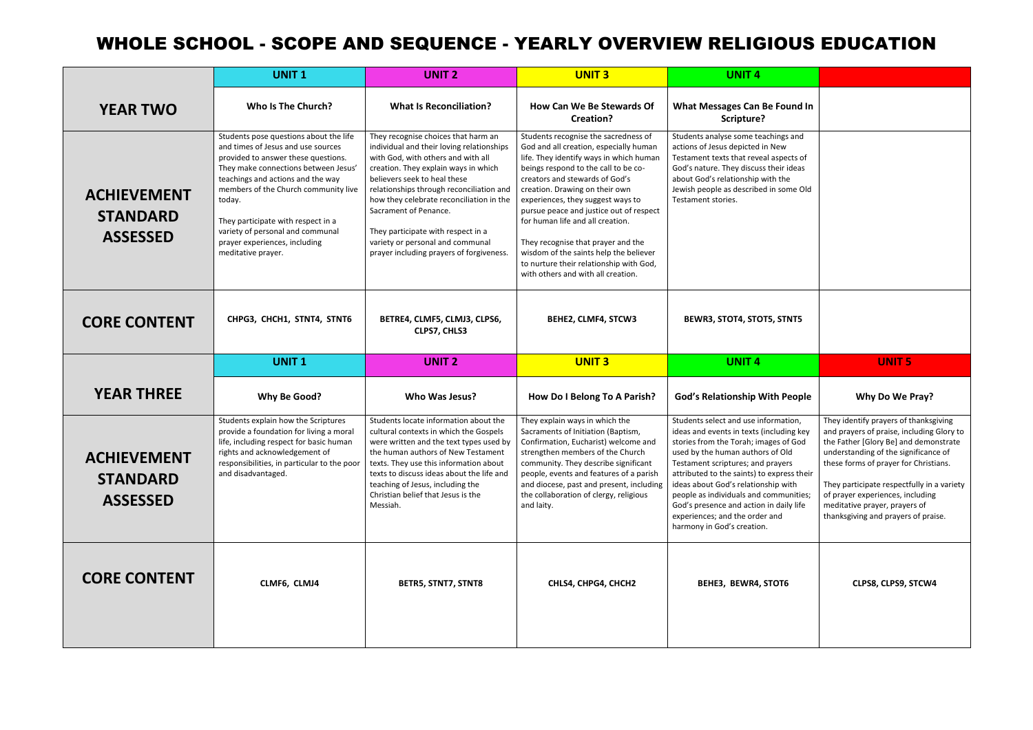|                                                          | <b>UNIT1</b>                                                                                                                                                                                                                                                                                                                                                                        | <b>UNIT 2</b>                                                                                                                                                                                                                                                                                                                                                                                                                         | <b>UNIT 3</b>                                                                                                                                                                                                                                                                                                                                                                                                                                                                                                              | <b>UNIT4</b>                                                                                                                                                                                                                                                                                                                                                                                                                                 |                                                                                                                                                                                                                                                                                                                              |
|----------------------------------------------------------|-------------------------------------------------------------------------------------------------------------------------------------------------------------------------------------------------------------------------------------------------------------------------------------------------------------------------------------------------------------------------------------|---------------------------------------------------------------------------------------------------------------------------------------------------------------------------------------------------------------------------------------------------------------------------------------------------------------------------------------------------------------------------------------------------------------------------------------|----------------------------------------------------------------------------------------------------------------------------------------------------------------------------------------------------------------------------------------------------------------------------------------------------------------------------------------------------------------------------------------------------------------------------------------------------------------------------------------------------------------------------|----------------------------------------------------------------------------------------------------------------------------------------------------------------------------------------------------------------------------------------------------------------------------------------------------------------------------------------------------------------------------------------------------------------------------------------------|------------------------------------------------------------------------------------------------------------------------------------------------------------------------------------------------------------------------------------------------------------------------------------------------------------------------------|
| <b>YEAR TWO</b>                                          | Who Is The Church?                                                                                                                                                                                                                                                                                                                                                                  | <b>What Is Reconciliation?</b>                                                                                                                                                                                                                                                                                                                                                                                                        | How Can We Be Stewards Of<br>Creation?                                                                                                                                                                                                                                                                                                                                                                                                                                                                                     | <b>What Messages Can Be Found In</b><br>Scripture?                                                                                                                                                                                                                                                                                                                                                                                           |                                                                                                                                                                                                                                                                                                                              |
| <b>ACHIEVEMENT</b><br><b>STANDARD</b><br><b>ASSESSED</b> | Students pose questions about the life<br>and times of Jesus and use sources<br>provided to answer these questions.<br>They make connections between Jesus'<br>teachings and actions and the way<br>members of the Church community live<br>today.<br>They participate with respect in a<br>variety of personal and communal<br>prayer experiences, including<br>meditative prayer. | They recognise choices that harm an<br>individual and their loving relationships<br>with God, with others and with all<br>creation. They explain ways in which<br>believers seek to heal these<br>relationships through reconciliation and<br>how they celebrate reconciliation in the<br>Sacrament of Penance.<br>They participate with respect in a<br>variety or personal and communal<br>prayer including prayers of forgiveness. | Students recognise the sacredness of<br>God and all creation, especially human<br>life. They identify ways in which human<br>beings respond to the call to be co-<br>creators and stewards of God's<br>creation. Drawing on their own<br>experiences, they suggest ways to<br>pursue peace and justice out of respect<br>for human life and all creation.<br>They recognise that prayer and the<br>wisdom of the saints help the believer<br>to nurture their relationship with God,<br>with others and with all creation. | Students analyse some teachings and<br>actions of Jesus depicted in New<br>Testament texts that reveal aspects of<br>God's nature. They discuss their ideas<br>about God's relationship with the<br>Jewish people as described in some Old<br>Testament stories.                                                                                                                                                                             |                                                                                                                                                                                                                                                                                                                              |
| <b>CORE CONTENT</b>                                      | CHPG3, CHCH1, STNT4, STNT6                                                                                                                                                                                                                                                                                                                                                          | BETRE4, CLMF5, CLMJ3, CLPS6,<br>CLPS7, CHLS3                                                                                                                                                                                                                                                                                                                                                                                          | BEHE2, CLMF4, STCW3                                                                                                                                                                                                                                                                                                                                                                                                                                                                                                        | BEWR3, STOT4, STOT5, STNT5                                                                                                                                                                                                                                                                                                                                                                                                                   |                                                                                                                                                                                                                                                                                                                              |
|                                                          | <b>UNIT1</b>                                                                                                                                                                                                                                                                                                                                                                        | <b>UNIT 2</b>                                                                                                                                                                                                                                                                                                                                                                                                                         | <b>UNIT 3</b>                                                                                                                                                                                                                                                                                                                                                                                                                                                                                                              | <b>UNIT4</b>                                                                                                                                                                                                                                                                                                                                                                                                                                 | <b>UNIT 5</b>                                                                                                                                                                                                                                                                                                                |
|                                                          |                                                                                                                                                                                                                                                                                                                                                                                     |                                                                                                                                                                                                                                                                                                                                                                                                                                       |                                                                                                                                                                                                                                                                                                                                                                                                                                                                                                                            |                                                                                                                                                                                                                                                                                                                                                                                                                                              |                                                                                                                                                                                                                                                                                                                              |
| <b>YEAR THREE</b>                                        | Why Be Good?                                                                                                                                                                                                                                                                                                                                                                        | Who Was Jesus?                                                                                                                                                                                                                                                                                                                                                                                                                        | How Do I Belong To A Parish?                                                                                                                                                                                                                                                                                                                                                                                                                                                                                               | <b>God's Relationship With People</b>                                                                                                                                                                                                                                                                                                                                                                                                        | Why Do We Pray?                                                                                                                                                                                                                                                                                                              |
| <b>ACHIEVEMENT</b><br><b>STANDARD</b><br><b>ASSESSED</b> | Students explain how the Scriptures<br>provide a foundation for living a moral<br>life, including respect for basic human<br>rights and acknowledgement of<br>responsibilities, in particular to the poor<br>and disadvantaged.                                                                                                                                                     | Students locate information about the<br>cultural contexts in which the Gospels<br>were written and the text types used by<br>the human authors of New Testament<br>texts. They use this information about<br>texts to discuss ideas about the life and<br>teaching of Jesus, including the<br>Christian belief that Jesus is the<br>Messiah.                                                                                         | They explain ways in which the<br>Sacraments of Initiation (Baptism,<br>Confirmation, Eucharist) welcome and<br>strengthen members of the Church<br>community. They describe significant<br>people, events and features of a parish<br>and diocese, past and present, including<br>the collaboration of clergy, religious<br>and laity.                                                                                                                                                                                    | Students select and use information,<br>ideas and events in texts (including key<br>stories from the Torah; images of God<br>used by the human authors of Old<br>Testament scriptures; and prayers<br>attributed to the saints) to express their<br>ideas about God's relationship with<br>people as individuals and communities;<br>God's presence and action in daily life<br>experiences; and the order and<br>harmony in God's creation. | They identify prayers of thanksg<br>and prayers of praise, including<br>the Father [Glory Be] and demo<br>understanding of the significand<br>these forms of prayer for Christi<br>They participate respectfully in<br>of prayer experiences, including<br>meditative prayer, prayers of<br>thanksgiving and prayers of prai |

| ound In                                                                                    |                                                                                                                                                                                                                                                                                                                                                                        |
|--------------------------------------------------------------------------------------------|------------------------------------------------------------------------------------------------------------------------------------------------------------------------------------------------------------------------------------------------------------------------------------------------------------------------------------------------------------------------|
| gs and<br>$\mathcal{N}$<br>ects of<br>r ideas<br>he<br>ome Old                             |                                                                                                                                                                                                                                                                                                                                                                        |
| TNT5                                                                                       |                                                                                                                                                                                                                                                                                                                                                                        |
|                                                                                            | <b>UNIT 5</b>                                                                                                                                                                                                                                                                                                                                                          |
|                                                                                            |                                                                                                                                                                                                                                                                                                                                                                        |
| People                                                                                     | Why Do We Pray?                                                                                                                                                                                                                                                                                                                                                        |
| ation,<br>ding key<br>of God<br>blC<br>ers<br>ress their<br>with<br>nunities;<br>aily life | They identify prayers of thanksgiving<br>and prayers of praise, including Glory to<br>the Father [Glory Be] and demonstrate<br>understanding of the significance of<br>these forms of prayer for Christians.<br>They participate respectfully in a variety<br>of prayer experiences, including<br>meditative prayer, prayers of<br>thanksgiving and prayers of praise. |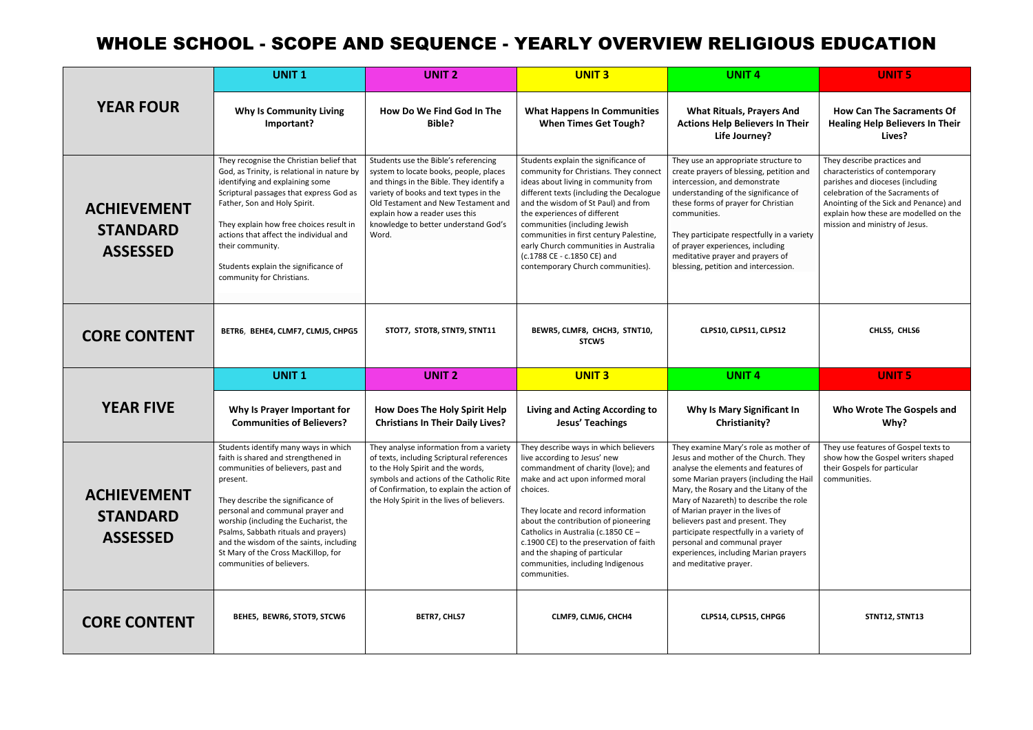|                                                          | <b>UNIT1</b>                                                                                                                                                                                                                                                                                                                                                                                           | <b>UNIT 2</b>                                                                                                                                                                                                                                                                                  | <b>UNIT3</b>                                                                                                                                                                                                                                                                                                                                                                                                                       | <b>UNIT4</b>                                                                                                                                                                                                                                                                                                                                                                                                                                                                | <b>UNIT 5</b>                                                                                                                                                                                                                                               |
|----------------------------------------------------------|--------------------------------------------------------------------------------------------------------------------------------------------------------------------------------------------------------------------------------------------------------------------------------------------------------------------------------------------------------------------------------------------------------|------------------------------------------------------------------------------------------------------------------------------------------------------------------------------------------------------------------------------------------------------------------------------------------------|------------------------------------------------------------------------------------------------------------------------------------------------------------------------------------------------------------------------------------------------------------------------------------------------------------------------------------------------------------------------------------------------------------------------------------|-----------------------------------------------------------------------------------------------------------------------------------------------------------------------------------------------------------------------------------------------------------------------------------------------------------------------------------------------------------------------------------------------------------------------------------------------------------------------------|-------------------------------------------------------------------------------------------------------------------------------------------------------------------------------------------------------------------------------------------------------------|
| <b>YEAR FOUR</b>                                         | <b>Why Is Community Living</b><br>Important?                                                                                                                                                                                                                                                                                                                                                           | How Do We Find God In The<br>Bible?                                                                                                                                                                                                                                                            | <b>What Happens In Communities</b><br><b>When Times Get Tough?</b>                                                                                                                                                                                                                                                                                                                                                                 | <b>What Rituals, Prayers And</b><br><b>Actions Help Believers In Their</b><br>Life Journey?                                                                                                                                                                                                                                                                                                                                                                                 | <b>How Can The Sacraments Of</b><br><b>Healing Help Believers In Their</b><br>Lives?                                                                                                                                                                        |
| <b>ACHIEVEMENT</b><br><b>STANDARD</b><br><b>ASSESSED</b> | They recognise the Christian belief that<br>God, as Trinity, is relational in nature by<br>identifying and explaining some<br>Scriptural passages that express God as<br>Father, Son and Holy Spirit.<br>They explain how free choices result in<br>actions that affect the individual and<br>their community.<br>Students explain the significance of<br>community for Christians.                    | Students use the Bible's referencing<br>system to locate books, people, places<br>and things in the Bible. They identify a<br>variety of books and text types in the<br>Old Testament and New Testament and<br>explain how a reader uses this<br>knowledge to better understand God's<br>Word. | Students explain the significance of<br>community for Christians. They connect<br>ideas about living in community from<br>different texts (including the Decalogue<br>and the wisdom of St Paul) and from<br>the experiences of different<br>communities (including Jewish<br>communities in first century Palestine,<br>early Church communities in Australia<br>(c.1788 CE - c.1850 CE) and<br>contemporary Church communities). | They use an appropriate structure to<br>create prayers of blessing, petition and<br>intercession, and demonstrate<br>understanding of the significance of<br>these forms of prayer for Christian<br>communities.<br>They participate respectfully in a variety<br>of prayer experiences, including<br>meditative prayer and prayers of<br>blessing, petition and intercession.                                                                                              | They describe practices and<br>characteristics of contemporary<br>parishes and dioceses (including<br>celebration of the Sacraments of<br>Anointing of the Sick and Penance) and<br>explain how these are modelled on the<br>mission and ministry of Jesus. |
| <b>CORE CONTENT</b>                                      | BETR6, BEHE4, CLMF7, CLMJ5, CHPG5                                                                                                                                                                                                                                                                                                                                                                      | STOT7, STOT8, STNT9, STNT11                                                                                                                                                                                                                                                                    | BEWR5, CLMF8, CHCH3, STNT10,<br>STCW5                                                                                                                                                                                                                                                                                                                                                                                              | CLPS10, CLPS11, CLPS12                                                                                                                                                                                                                                                                                                                                                                                                                                                      | CHLS5, CHLS6                                                                                                                                                                                                                                                |
|                                                          | <b>UNIT1</b>                                                                                                                                                                                                                                                                                                                                                                                           | <b>UNIT 2</b>                                                                                                                                                                                                                                                                                  | <b>UNIT 3</b>                                                                                                                                                                                                                                                                                                                                                                                                                      | <b>UNIT4</b>                                                                                                                                                                                                                                                                                                                                                                                                                                                                | <b>UNIT 5</b>                                                                                                                                                                                                                                               |
| <b>YEAR FIVE</b>                                         | Why Is Prayer Important for<br><b>Communities of Believers?</b>                                                                                                                                                                                                                                                                                                                                        | How Does The Holy Spirit Help<br><b>Christians In Their Daily Lives?</b>                                                                                                                                                                                                                       | <b>Living and Acting According to</b><br><b>Jesus' Teachings</b>                                                                                                                                                                                                                                                                                                                                                                   | <b>Why Is Mary Significant In</b><br>Christianity?                                                                                                                                                                                                                                                                                                                                                                                                                          | Who Wrote The Gospels and<br>Why?                                                                                                                                                                                                                           |
| <b>ACHIEVEMENT</b><br><b>STANDARD</b><br><b>ASSESSED</b> | Students identify many ways in which<br>faith is shared and strengthened in<br>communities of believers, past and<br>present.<br>They describe the significance of<br>personal and communal prayer and<br>worship (including the Eucharist, the<br>Psalms, Sabbath rituals and prayers)<br>and the wisdom of the saints, including<br>St Mary of the Cross MacKillop, for<br>communities of believers. | They analyse information from a variety<br>of texts, including Scriptural references<br>to the Holy Spirit and the words,<br>symbols and actions of the Catholic Rite<br>of Confirmation, to explain the action of<br>the Holy Spirit in the lives of believers.                               | They describe ways in which believers<br>live according to Jesus' new<br>commandment of charity (love); and<br>make and act upon informed moral<br>choices.<br>They locate and record information<br>about the contribution of pioneering<br>Catholics in Australia (c.1850 CE -<br>c.1900 CE) to the preservation of faith<br>and the shaping of particular<br>communities, including Indigenous<br>communities.                  | They examine Mary's role as mother of<br>Jesus and mother of the Church. They<br>analyse the elements and features of<br>some Marian prayers (including the Hail<br>Mary, the Rosary and the Litany of the<br>Mary of Nazareth) to describe the role<br>of Marian prayer in the lives of<br>believers past and present. They<br>participate respectfully in a variety of<br>personal and communal prayer<br>experiences, including Marian prayers<br>and meditative prayer. | They use features of Gospel texts to<br>show how the Gospel writers shaped<br>their Gospels for particular<br>communities.                                                                                                                                  |
| <b>CORE CONTENT</b>                                      | BEHE5, BEWR6, STOT9, STCW6                                                                                                                                                                                                                                                                                                                                                                             | <b>BETR7, CHLS7</b>                                                                                                                                                                                                                                                                            | CLMF9, CLMJ6, CHCH4                                                                                                                                                                                                                                                                                                                                                                                                                | CLPS14, CLPS15, CHPG6                                                                                                                                                                                                                                                                                                                                                                                                                                                       | STNT12, STNT13                                                                                                                                                                                                                                              |